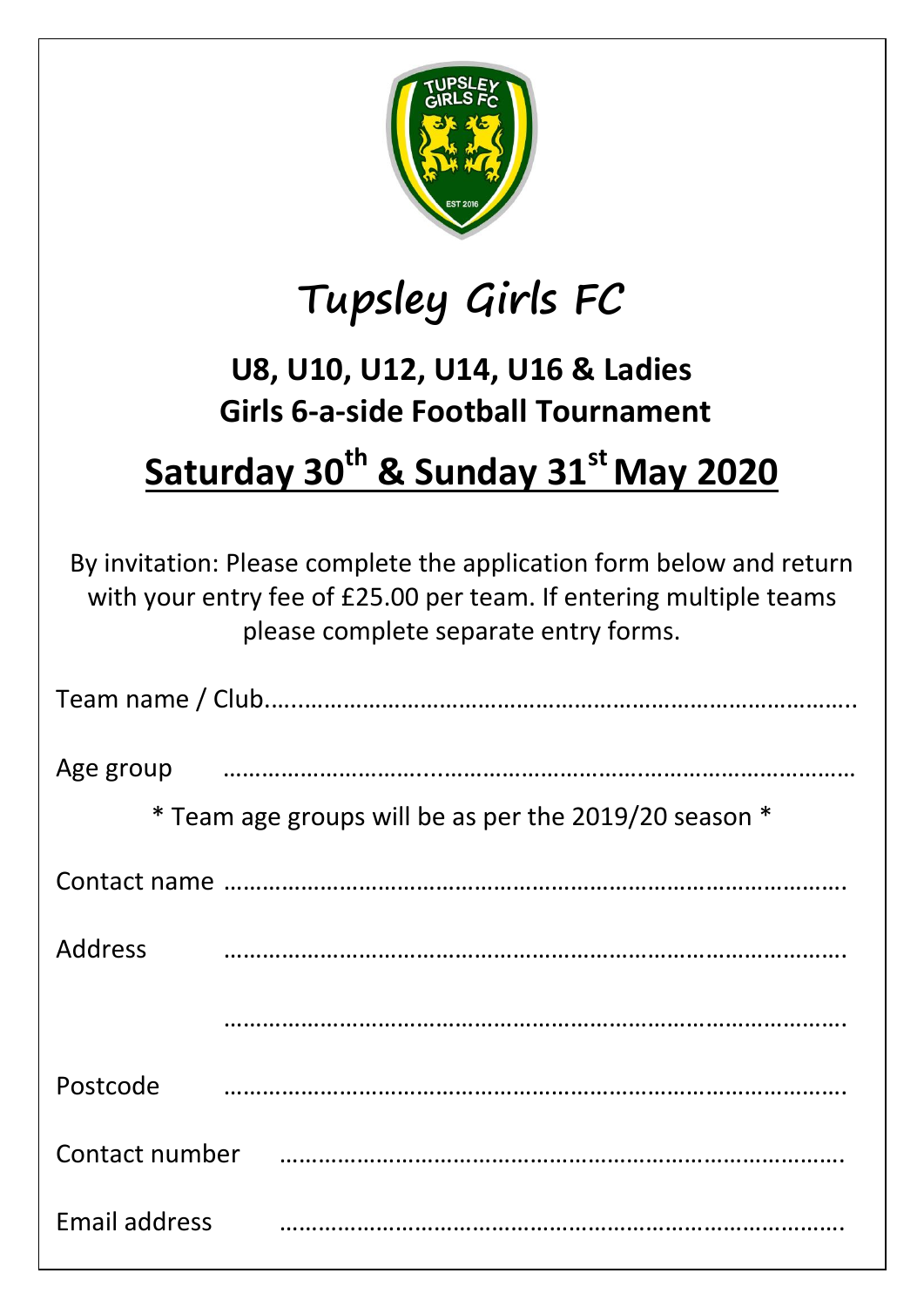

## **Tupsley Girls FC**

## **U8, U10, U12, U14, U16 & Ladies Girls 6-a-side Football Tournament**

## **Saturday 30th & Sunday 31stMay 2020**

By invitation: Please complete the application form below and return with your entry fee of £25.00 per team. If entering multiple teams please complete separate entry forms.

| Age group                                             |  |  |  |
|-------------------------------------------------------|--|--|--|
| * Team age groups will be as per the 2019/20 season * |  |  |  |
|                                                       |  |  |  |
| Address                                               |  |  |  |
|                                                       |  |  |  |
| Postcode                                              |  |  |  |
| Contact number                                        |  |  |  |
| Email address                                         |  |  |  |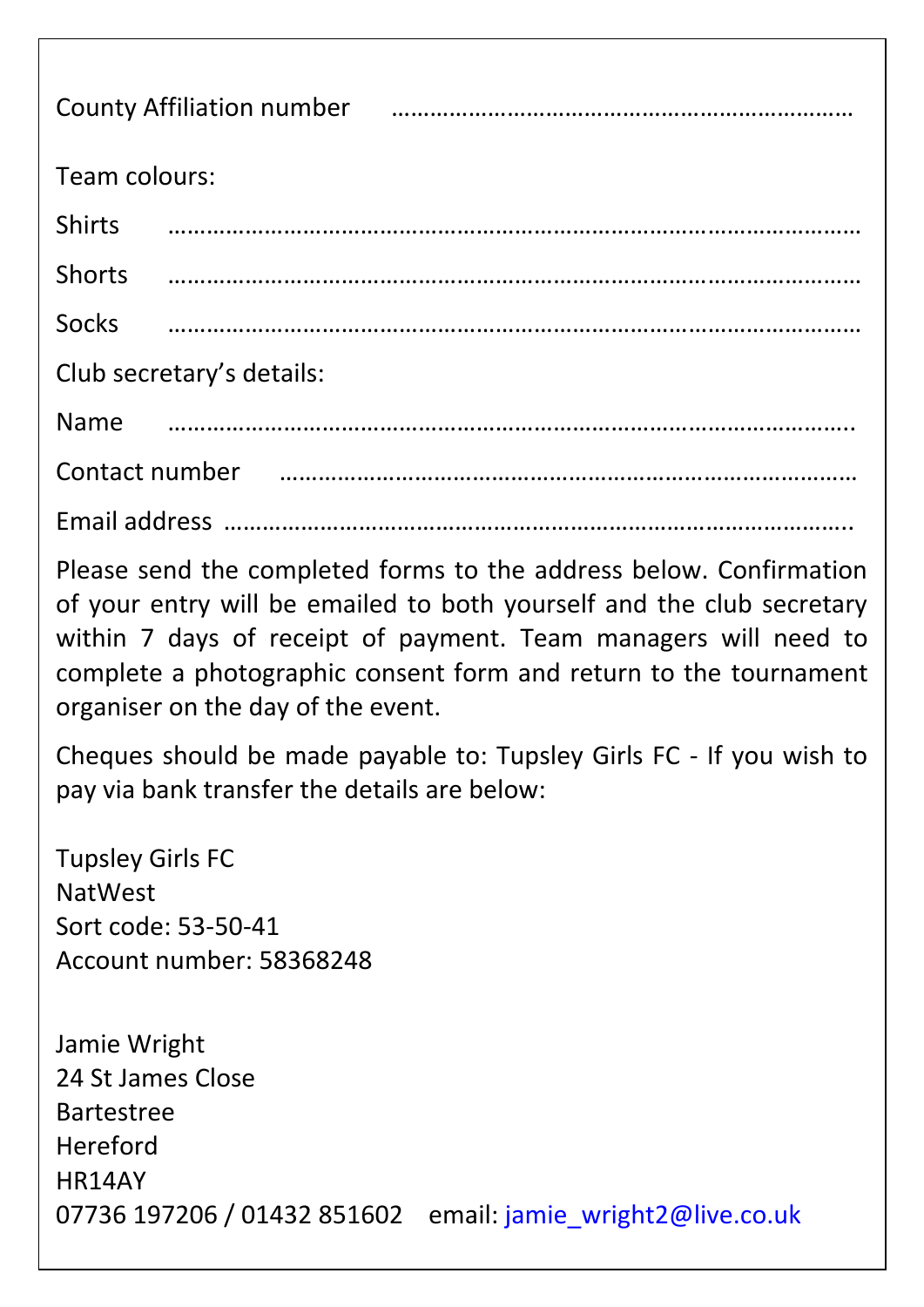| County Affiliation number <b>contracts</b> and the country Affiliation number |  |  |  |
|-------------------------------------------------------------------------------|--|--|--|
| Team colours:                                                                 |  |  |  |
| <b>Shirts</b>                                                                 |  |  |  |
| <b>Shorts</b>                                                                 |  |  |  |
| <b>Socks</b>                                                                  |  |  |  |
| Club secretary's details:                                                     |  |  |  |
| <b>Name</b>                                                                   |  |  |  |
| Contact number <b>contact</b> number                                          |  |  |  |
|                                                                               |  |  |  |

Please send the completed forms to the address below. Confirmation of your entry will be emailed to both yourself and the club secretary within 7 days of receipt of payment. Team managers will need to complete a photographic consent form and return to the tournament organiser on the day of the event.

Cheques should be made payable to: Tupsley Girls FC - If you wish to pay via bank transfer the details are below:

Tupsley Girls FC NatWest Sort code: 53-50-41 Account number: 58368248

Jamie Wright 24 St James Close Bartestree Hereford HR14AY 07736 197206 / 01432 851602 email: [jamie\\_wright2@live.co.uk](mailto:jamie_wright2@live.co.uk)